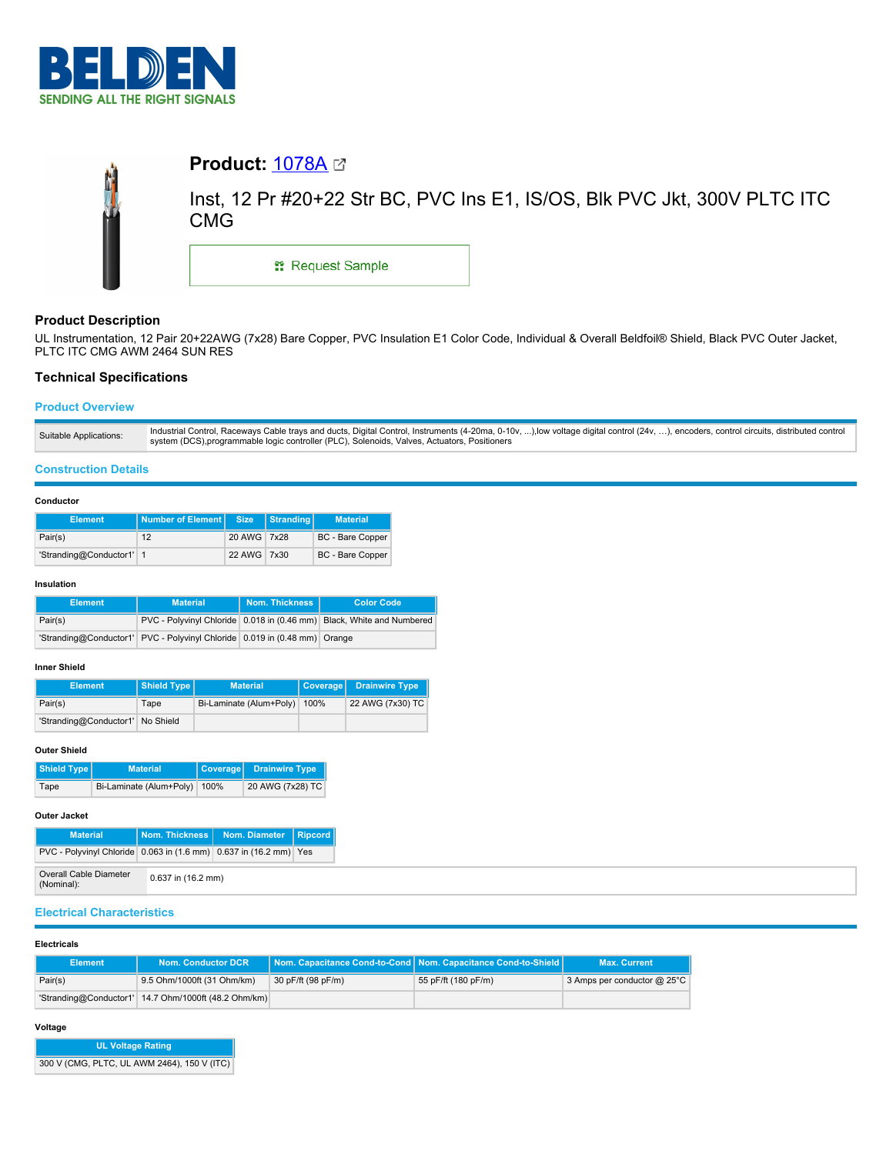



# **Product Description**

UL Instrumentation, 12 Pair 20+22AWG (7x28) Bare Copper, PVC Insulation E1 Color Code, Individual & Overall Beldfoil® Shield, Black PVC Outer Jacket, PLTC ITC CMG AWM 2464 SUN RES

## **Technical Specifications**

## **Product Overview**

## **Construction Details**

## **Conductor**

| <b>Element</b>           | Number of Element Size |             | Stranding | <b>Material</b>         |  |
|--------------------------|------------------------|-------------|-----------|-------------------------|--|
| Pair(s)                  | 12                     | 20 AWG 7x28 |           | <b>BC</b> - Bare Copper |  |
| 'Stranding@Conductor1' 1 |                        | 22 AWG 7x30 |           | BC - Bare Copper        |  |

#### **Insulation**

| <b>Element</b> | <b>Material</b>                                                           | Nom. Thickness | <b>Color Code</b>                                                     |
|----------------|---------------------------------------------------------------------------|----------------|-----------------------------------------------------------------------|
| Pair(s)        |                                                                           |                | PVC - Polyvinyl Chloride 0.018 in (0.46 mm) Black, White and Numbered |
|                | 'Stranding@Conductor1' PVC - Polyvinyl Chloride 0.019 in (0.48 mm) Orange |                |                                                                       |

## **Inner Shield**

| <b>Element</b>                   |  | Shield Type | <b>Material</b>              | Coverage Drainwire Type |
|----------------------------------|--|-------------|------------------------------|-------------------------|
| Pair(s)                          |  | Tape        | Bi-Laminate (Alum+Poly) 100% | 22 AWG (7x30) TC        |
| 'Stranding@Conductor1' No Shield |  |             |                              |                         |

### **Outer Shield**

| Shield Type | <b>Material</b>              | Coverage Drainwire Type, |  |
|-------------|------------------------------|--------------------------|--|
| Tape        | Bi-Laminate (Alum+Poly) 100% | 20 AWG (7x28) TC         |  |

## **Outer Jacket**

| <b>Material</b>                                                         |                    | Nom. Thickness   Nom. Diameter   Ripcord |  |  |
|-------------------------------------------------------------------------|--------------------|------------------------------------------|--|--|
| PVC - Polyvinyl Chloride   0.063 in (1.6 mm)   0.637 in (16.2 mm)   Yes |                    |                                          |  |  |
| Overall Cable Diameter<br>(Nominal):                                    | 0.637 in (16.2 mm) |                                          |  |  |

# **Electrical Characteristics**

### **Electricals**

| <b>Element</b> | Nom. Conductor DCR                                     |                    | Nom. Capacitance Cond-to-Cond   Nom. Capacitance Cond-to-Shield | <b>Max. Current</b>              |
|----------------|--------------------------------------------------------|--------------------|-----------------------------------------------------------------|----------------------------------|
| Pair(s)        | 9.5 Ohm/1000ft (31 Ohm/km)                             | 30 pF/ft (98 pF/m) | 55 pF/ft (180 pF/m)                                             | 3 Amps per conductor $@$ 25 $°C$ |
|                | 'Stranding@Conductor1'   14.7 Ohm/1000ft (48.2 Ohm/km) |                    |                                                                 |                                  |

## **Voltage**

| UL Voltage Rating                           |
|---------------------------------------------|
| 300 V (CMG, PLTC, UL AWM 2464), 150 V (ITC) |